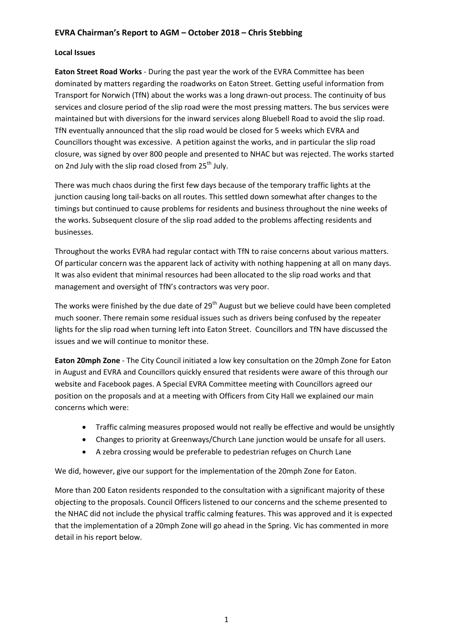# **EVRA Chairman's Report to AGM – October 2018 – Chris Stebbing**

#### **Local Issues**

**Eaton Street Road Works** - During the past year the work of the EVRA Committee has been dominated by matters regarding the roadworks on Eaton Street. Getting useful information from Transport for Norwich (TfN) about the works was a long drawn-out process. The continuity of bus services and closure period of the slip road were the most pressing matters. The bus services were maintained but with diversions for the inward services along Bluebell Road to avoid the slip road. TfN eventually announced that the slip road would be closed for 5 weeks which EVRA and Councillors thought was excessive. A petition against the works, and in particular the slip road closure, was signed by over 800 people and presented to NHAC but was rejected. The works started on 2nd July with the slip road closed from 25<sup>th</sup> July.

There was much chaos during the first few days because of the temporary traffic lights at the junction causing long tail-backs on all routes. This settled down somewhat after changes to the timings but continued to cause problems for residents and business throughout the nine weeks of the works. Subsequent closure of the slip road added to the problems affecting residents and businesses.

Throughout the works EVRA had regular contact with TfN to raise concerns about various matters. Of particular concern was the apparent lack of activity with nothing happening at all on many days. It was also evident that minimal resources had been allocated to the slip road works and that management and oversight of TfN's contractors was very poor.

The works were finished by the due date of 29<sup>th</sup> August but we believe could have been completed much sooner. There remain some residual issues such as drivers being confused by the repeater lights for the slip road when turning left into Eaton Street. Councillors and TfN have discussed the issues and we will continue to monitor these.

**Eaton 20mph Zone** - The City Council initiated a low key consultation on the 20mph Zone for Eaton in August and EVRA and Councillors quickly ensured that residents were aware of this through our website and Facebook pages. A Special EVRA Committee meeting with Councillors agreed our position on the proposals and at a meeting with Officers from City Hall we explained our main concerns which were:

- Traffic calming measures proposed would not really be effective and would be unsightly
- Changes to priority at Greenways/Church Lane junction would be unsafe for all users.
- A zebra crossing would be preferable to pedestrian refuges on Church Lane

We did, however, give our support for the implementation of the 20mph Zone for Eaton.

More than 200 Eaton residents responded to the consultation with a significant majority of these objecting to the proposals. Council Officers listened to our concerns and the scheme presented to the NHAC did not include the physical traffic calming features. This was approved and it is expected that the implementation of a 20mph Zone will go ahead in the Spring. Vic has commented in more detail in his report below.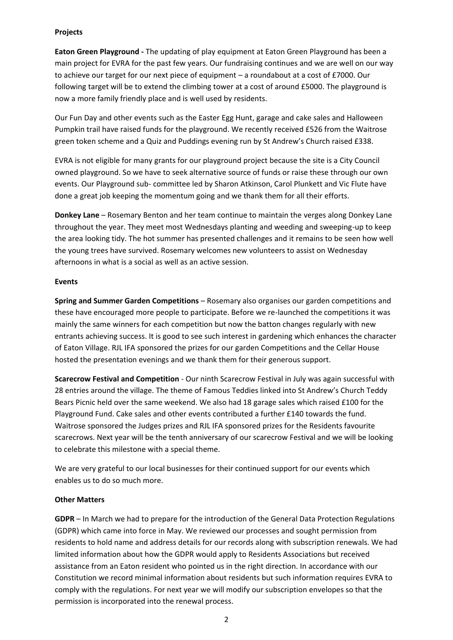## **Projects**

**Eaton Green Playground -** The updating of play equipment at Eaton Green Playground has been a main project for EVRA for the past few years. Our fundraising continues and we are well on our way to achieve our target for our next piece of equipment – a roundabout at a cost of £7000. Our following target will be to extend the climbing tower at a cost of around £5000. The playground is now a more family friendly place and is well used by residents.

Our Fun Day and other events such as the Easter Egg Hunt, garage and cake sales and Halloween Pumpkin trail have raised funds for the playground. We recently received £526 from the Waitrose green token scheme and a Quiz and Puddings evening run by St Andrew's Church raised £338.

EVRA is not eligible for many grants for our playground project because the site is a City Council owned playground. So we have to seek alternative source of funds or raise these through our own events. Our Playground sub- committee led by Sharon Atkinson, Carol Plunkett and Vic Flute have done a great job keeping the momentum going and we thank them for all their efforts.

**Donkey Lane** – Rosemary Benton and her team continue to maintain the verges along Donkey Lane throughout the year. They meet most Wednesdays planting and weeding and sweeping-up to keep the area looking tidy. The hot summer has presented challenges and it remains to be seen how well the young trees have survived. Rosemary welcomes new volunteers to assist on Wednesday afternoons in what is a social as well as an active session.

#### **Events**

**Spring and Summer Garden Competitions** – Rosemary also organises our garden competitions and these have encouraged more people to participate. Before we re-launched the competitions it was mainly the same winners for each competition but now the batton changes regularly with new entrants achieving success. It is good to see such interest in gardening which enhances the character of Eaton Village. RJL IFA sponsored the prizes for our garden Competitions and the Cellar House hosted the presentation evenings and we thank them for their generous support.

**Scarecrow Festival and Competition** - Our ninth Scarecrow Festival in July was again successful with 28 entries around the village. The theme of Famous Teddies linked into St Andrew's Church Teddy Bears Picnic held over the same weekend. We also had 18 garage sales which raised £100 for the Playground Fund. Cake sales and other events contributed a further £140 towards the fund. Waitrose sponsored the Judges prizes and RJL IFA sponsored prizes for the Residents favourite scarecrows. Next year will be the tenth anniversary of our scarecrow Festival and we will be looking to celebrate this milestone with a special theme.

We are very grateful to our local businesses for their continued support for our events which enables us to do so much more.

# **Other Matters**

**GDPR** – In March we had to prepare for the introduction of the General Data Protection Regulations (GDPR) which came into force in May. We reviewed our processes and sought permission from residents to hold name and address details for our records along with subscription renewals. We had limited information about how the GDPR would apply to Residents Associations but received assistance from an Eaton resident who pointed us in the right direction. In accordance with our Constitution we record minimal information about residents but such information requires EVRA to comply with the regulations. For next year we will modify our subscription envelopes so that the permission is incorporated into the renewal process.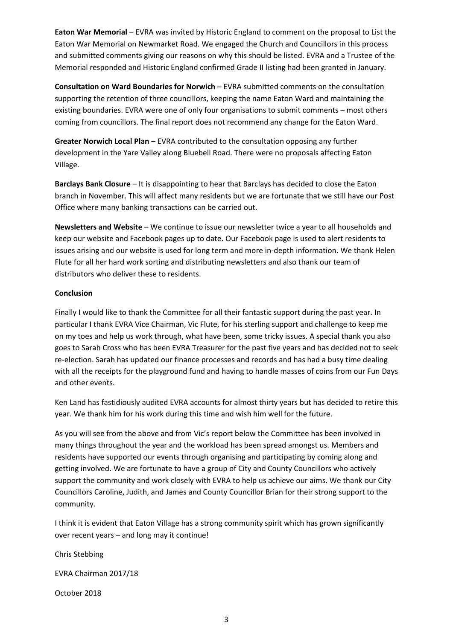**Eaton War Memorial** – EVRA was invited by Historic England to comment on the proposal to List the Eaton War Memorial on Newmarket Road. We engaged the Church and Councillors in this process and submitted comments giving our reasons on why this should be listed. EVRA and a Trustee of the Memorial responded and Historic England confirmed Grade II listing had been granted in January.

**Consultation on Ward Boundaries for Norwich** – EVRA submitted comments on the consultation supporting the retention of three councillors, keeping the name Eaton Ward and maintaining the existing boundaries. EVRA were one of only four organisations to submit comments – most others coming from councillors. The final report does not recommend any change for the Eaton Ward.

**Greater Norwich Local Plan** – EVRA contributed to the consultation opposing any further development in the Yare Valley along Bluebell Road. There were no proposals affecting Eaton Village.

**Barclays Bank Closure** – It is disappointing to hear that Barclays has decided to close the Eaton branch in November. This will affect many residents but we are fortunate that we still have our Post Office where many banking transactions can be carried out.

**Newsletters and Website** – We continue to issue our newsletter twice a year to all households and keep our website and Facebook pages up to date. Our Facebook page is used to alert residents to issues arising and our website is used for long term and more in-depth information. We thank Helen Flute for all her hard work sorting and distributing newsletters and also thank our team of distributors who deliver these to residents.

## **Conclusion**

Finally I would like to thank the Committee for all their fantastic support during the past year. In particular I thank EVRA Vice Chairman, Vic Flute, for his sterling support and challenge to keep me on my toes and help us work through, what have been, some tricky issues. A special thank you also goes to Sarah Cross who has been EVRA Treasurer for the past five years and has decided not to seek re-election. Sarah has updated our finance processes and records and has had a busy time dealing with all the receipts for the playground fund and having to handle masses of coins from our Fun Days and other events.

Ken Land has fastidiously audited EVRA accounts for almost thirty years but has decided to retire this year. We thank him for his work during this time and wish him well for the future.

As you will see from the above and from Vic's report below the Committee has been involved in many things throughout the year and the workload has been spread amongst us. Members and residents have supported our events through organising and participating by coming along and getting involved. We are fortunate to have a group of City and County Councillors who actively support the community and work closely with EVRA to help us achieve our aims. We thank our City Councillors Caroline, Judith, and James and County Councillor Brian for their strong support to the community.

I think it is evident that Eaton Village has a strong community spirit which has grown significantly over recent years – and long may it continue!

Chris Stebbing

EVRA Chairman 2017/18

October 2018